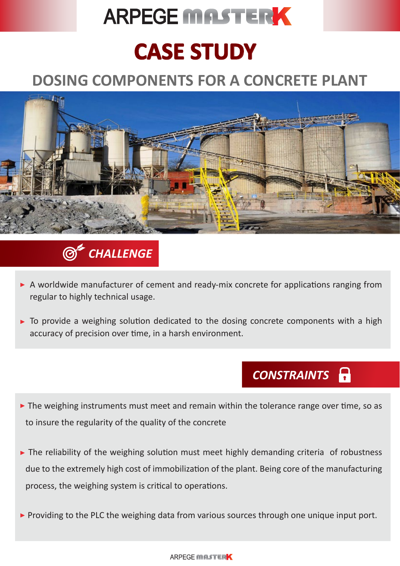# **ARPEGE MASTERK**

## **CASE STUDY**

## **DOSING COMPONENTS FOR A CONCRETE PLANT**





- A worldwide manufacturer of cement and ready-mix concrete for applications ranging from regular to highly technical usage.
- $\triangleright$  To provide a weighing solution dedicated to the dosing concrete components with a high accuracy of precision over time, in a harsh environment.

## *CONSTRAINTS*

- The weighing instruments must meet and remain within the tolerance range over time, so as to insure the regularity of the quality of the concrete
- The reliability of the weighing solution must meet highly demanding criteria of robustness due to the extremely high cost of immobilization of the plant. Being core of the manufacturing process, the weighing system is critical to operations.
- **Providing to the PLC the weighing data from various sources through one unique input port.**

#### **ARPFGE MASTERK**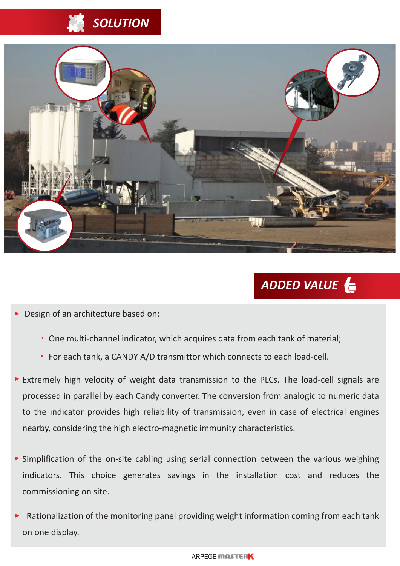## *SOLUTION*



### *ADDED VALUE*

Design of an architecture based on:

- One multi-channel indicator, which acquires data from each tank of material;
- For each tank, a CANDY A/D transmittor which connects to each load-cell.
- Extremely high velocity of weight data transmission to the PLCs. The load-cell signals are processed in parallel by each Candy converter. The conversion from analogic to numeric data to the indicator provides high reliability of transmission, even in case of electrical engines nearby, considering the high electro-magnetic immunity characteristics.
- Simplification of the on-site cabling using serial connection between the various weighing indicators. This choice generates savings in the installation cost and reduces the commissioning on site.
- Rationalization of the monitoring panel providing weight information coming from each tank on one display.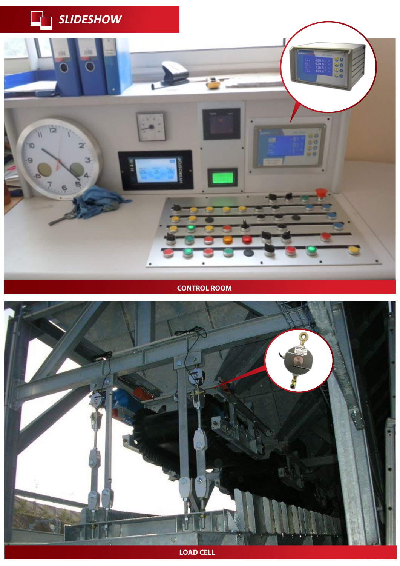

**CONTROL ROOM**



**LOAD CELL**